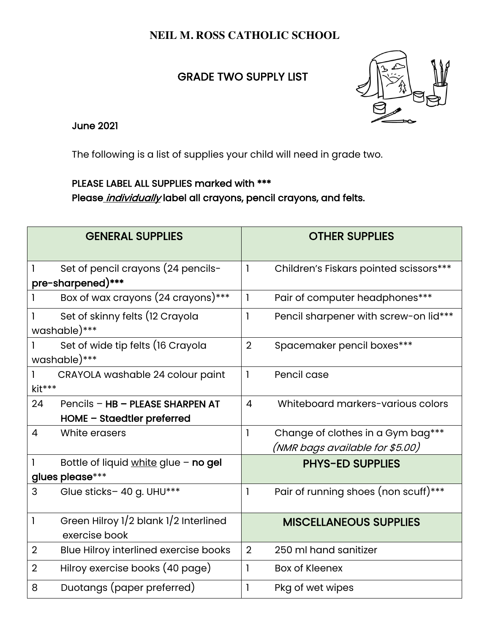## **NEIL M. ROSS CATHOLIC SCHOOL**

## **GRADE TWO SUPPLY LIST**



June 2021

The following is a list of supplies your child will need in grade two.

## PLEASE LABEL ALL SUPPLIES marked with \*\*\*

Please *individually* label all crayons, pencil crayons, and felts.

|                                                         | <b>GENERAL SUPPLIES</b>                                        |                | <b>OTHER SUPPLIES</b>                                                |
|---------------------------------------------------------|----------------------------------------------------------------|----------------|----------------------------------------------------------------------|
| Set of pencil crayons (24 pencils-<br>pre-sharpened)*** |                                                                | $\mathbf{I}$   | Children's Fiskars pointed scissors***                               |
|                                                         | Box of wax crayons (24 crayons)***                             | 1              | Pair of computer headphones***                                       |
|                                                         | Set of skinny felts (12 Crayola<br>washable)***                | $\mathbf{I}$   | Pencil sharpener with screw-on lid***                                |
|                                                         | Set of wide tip felts (16 Crayola<br>washable)***              | $\overline{2}$ | Spacemaker pencil boxes***                                           |
| kit***                                                  | CRAYOLA washable 24 colour paint                               | $\mathbf{I}$   | Pencil case                                                          |
| 24                                                      | Pencils - HB - PLEASE SHARPEN AT<br>HOME - Staedtler preferred | 4              | Whiteboard markers-various colors                                    |
| 4                                                       | White erasers                                                  | 1              | Change of clothes in a Gym bag***<br>(NMR bags available for \$5.00) |
|                                                         | Bottle of liquid white glue - no gel<br>glues please***        |                | <b>PHYS-ED SUPPLIES</b>                                              |
| 3                                                       | Glue sticks- 40 g. UHU***                                      | $\mathbf{I}$   | Pair of running shoes (non scuff)***                                 |
| 1                                                       | Green Hilroy 1/2 blank 1/2 Interlined<br>exercise book         |                | <b>MISCELLANEOUS SUPPLIES</b>                                        |
| $\overline{2}$                                          | Blue Hilroy interlined exercise books                          | $\overline{2}$ | 250 ml hand sanitizer                                                |
| $\overline{2}$                                          | Hilroy exercise books (40 page)                                | 1              | <b>Box of Kleenex</b>                                                |
| 8                                                       | Duotangs (paper preferred)                                     | 1              | Pkg of wet wipes                                                     |